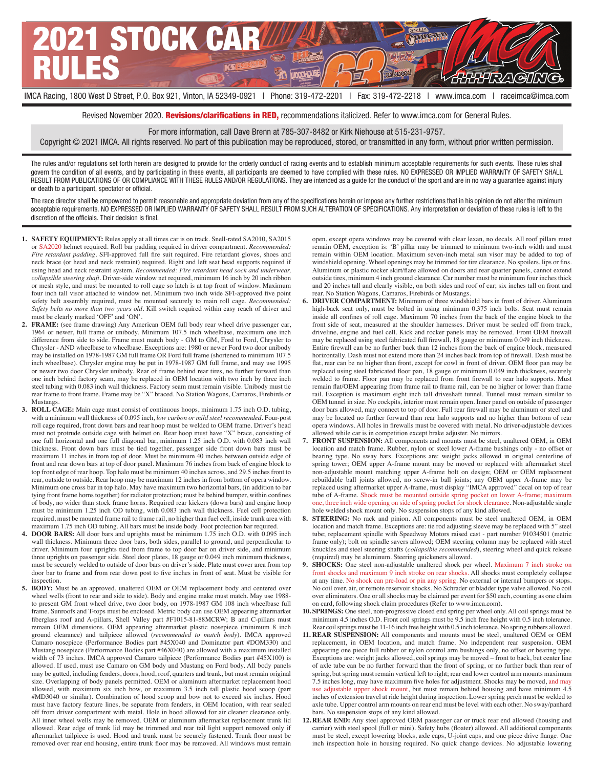

Revised November 2020. Revisions/clarifications in RED, recommendations italicized. Refer to www.imca.com for General Rules.

For more information, call Dave Brenn at 785-307-8482 or Kirk Niehouse at 515-231-9757.

Copyright © 2021 IMCA. All rights reserved. No part of this publication may be reproduced, stored, or transmitted in any form, without prior written permission.

The rules and/or regulations set forth herein are designed to provide for the orderly conduct of racing events and to establish minimum acceptable requirements for such events. These rules shall govern the condition of all events, and by participating in these events, all participants are deemed to have complied with these rules. NO EXPRESSED OR IMPLIED WARRANTY OF SAFETY SHALL RESULT FROM PUBLICATIONS OF OR COMPLIANCE WITH THESE RULES AND/OR REGULATIONS. They are intended as a guide for the conduct of the sport and are in no way a guarantee against injury or death to a participant, spectator or official.

The race director shall be empowered to permit reasonable and appropriate deviation from any of the specifications herein or impose any further restrictions that in his opinion do not alter the minimum acceptable requirements. NO EXPRESSED OR IMPLIED WARRANTY OF SAFETY SHALL RESULT FROM SUCH ALTERATION OF SPECIFICATIONS. Any interpretation or deviation of these rules is left to the discretion of the officials. Their decision is final.

- **1. SAFETY EQUIPMENT:** Rules apply at all times car is on track. Snell-rated SA2010, SA2015 or SA2020 helmet required. Roll bar padding required in driver compartment. *Recommended: Fire retardant padding*. SFI-approved full fire suit required. Fire retardant gloves, shoes and neck brace (or head and neck restraint) required. Right and left seat head supports required if using head and neck restraint system. *Recommended: Fire retardant head sock and underwear, collapsible steering shaft*. Driver-side window net required, minimum 16 inch by 20 inch ribbon or mesh style, and must be mounted to roll cage so latch is at top front of window. Maximum four inch tall visor attached to window net. Minimum two inch wide SFI-approved five point safety belt assembly required, must be mounted securely to main roll cage. *Recommended: Safety belts no more than two years old*. Kill switch required within easy reach of driver and must be clearly marked 'OFF' and 'ON'.
- **2. FRAME:** (see frame drawing) Any American OEM full body rear wheel drive passenger car, 1964 or newer, full frame or unibody. Minimum 107.5 inch wheelbase, maximum one inch difference from side to side. Frame must match body - GM to GM, Ford to Ford, Chrysler to Chrysler - AND wheelbase to wheelbase. Exceptions are: 1980 or newer Ford two door unibody may be installed on 1978-1987 GM full frame OR Ford full frame (shortened to minimum 107.5 inch wheelbase). Chrysler engine may be put in 1978-1987 GM full frame, and may use 1995 or newer two door Chrysler unibody. Rear of frame behind rear tires, no further forward than one inch behind factory seam, may be replaced in OEM location with two inch by three inch steel tubing with 0.083 inch wall thickness. Factory seam must remain visible. Unibody must tie rear frame to front frame. Frame may be "X" braced. No Station Wagons, Camaros, Firebirds or Mustangs.
- **3. ROLL CAGE:** Main cage must consist of continuous hoops, minimum 1.75 inch O.D. tubing, with a minimum wall thickness of 0.095 inch, *low carbon or mild steel recommended*. Four-post roll cage required, front down bars and rear hoop must be welded to OEM frame. Driver's head must not protrude outside cage with helmet on. Rear hoop must have "X" brace, consisting of one full horizontal and one full diagonal bar, minimum 1.25 inch O.D. with 0.083 inch wall thickness. Front down bars must be tied together, passenger side front down bars must be maximum 11 inches in from top of door. Must be minimum 40 inches between outside edge of front and rear down bars at top of door panel. Maximum 76 inches from back of engine block to top front edge of rear hoop. Top halo must be minimum 40 inches across, and 29.5 inches front to rear, outside to outside. Rear hoop may be maximum 12 inches in from bottom of opera window. Minimum one cross bar in top halo. May have maximum two horizontal bars, (in addition to bar tying front frame horns together) for radiator protection; must be behind bumper, within confines of body, no wider than stock frame horns. Required rear kickers (down bars) and engine hoop must be minimum 1.25 inch OD tubing, with 0.083 inch wall thickness. Fuel cell protection required, must be mounted frame rail to frame rail, no higher than fuel cell, inside trunk area with maximum 1.75 inch OD tubing. All bars must be inside body. Foot protection bar required.
- **4. DOOR BARS:** All door bars and uprights must be minimum 1.75 inch O.D. with 0.095 inch wall thickness. Minimum three door bars, both sides, parallel to ground, and perpendicular to driver. Minimum four uprights tied from frame to top door bar on driver side, and minimum three uprights on passenger side. Steel door plates, 18 gauge or 0.049 inch minimum thickness, must be securely welded to outside of door bars on driver's side. Plate must cover area from top door bar to frame and from rear down post to five inches in front of seat. Must be visible for inspection.
- **5. BODY:** Must be an approved, unaltered OEM or OEM replacement body and centered over wheel wells (front to rear and side to side). Body and engine make must match. May use 1988 to present GM front wheel drive, two door body, on 1978-1987 GM 108 inch wheelbase full frame. Sunroofs and T-tops must be enclosed. Metric body can use OEM appearing aftermarket fiberglass roof and A-pillars, Shell Valley part #F1015-81-88MCRW; B and C-pillars must remain OEM dimensions. OEM appearing aftermarket plastic nosepiece (minimum 8 inch ground clearance) and tailpiece allowed (*recommended to match body*). IMCA approved Camaro nosepiece (Performance Bodies part #45X040 and Dominator part #DOM330) and Mustang nosepiece (Performance Bodies part #46X040) are allowed with a maximum installed width of 73 inches. IMCA approved Camaro tailpiece (Performance Bodies part #45X100) is allowed. If used, must use Camaro on GM body and Mustang on Ford body. All body panels may be gutted, including fenders, doors, hood, roof, quarters and trunk, but must remain original size. Overlapping of body panels permitted. OEM or aluminum aftermarket replacement hood allowed, with maximum six inch bow, or maximum 3.5 inch tall plastic hood scoop (part #MD3040 or similar). Combination of hood scoop and bow not to exceed six inches. Hood must have factory feature lines, be separate from fenders, in OEM location, with rear sealed off from driver compartment with metal. Hole in hood allowed for air cleaner clearance only. All inner wheel wells may be removed. OEM or aluminum aftermarket replacement trunk lid allowed. Rear edge of trunk lid may be trimmed and rear tail light support removed only if aftermarket tailpiece is used. Hood and trunk must be securely fastened. Trunk floor must be removed over rear end housing, entire trunk floor may be removed. All windows must remain

open, except opera windows may be covered with clear lexan, no decals. All roof pillars must remain OEM, exception is: 'B' pillar may be trimmed to minimum two-inch width and must remain within OEM location. Maximum seven-inch metal sun visor may be added to top of windshield opening. Wheel openings may be trimmed for tire clearance. No spoilers, lips or fins. Aluminum or plastic rocker skirt/flare allowed on doors and rear quarter panels, cannot extend outside tires, minimum 4 inch ground clearance. Car number must be minimum four inches thick and 20 inches tall and clearly visible, on both sides and roof of car; six inches tall on front and rear. No Station Wagons, Camaros, Firebirds or Mustangs.

- **6. DRIVER COMPARTMENT:** Minimum of three windshield bars in front of driver. Aluminum high-back seat only, must be bolted in using minimum 0.375 inch bolts. Seat must remain inside all confines of roll cage. Maximum 70 inches from the back of the engine block to the front side of seat, measured at the shoulder harnesses. Driver must be sealed off from track, driveline, engine and fuel cell. Kick and rocker panels may be removed. Front OEM firewall may be replaced using steel fabricated full firewall, 18 gauge or minimum 0.049 inch thickness. Entire firewall can be no further back than 12 inches from the back of engine block, measured horizontally. Dash must not extend more than 24 inches back from top of firewall. Dash must be flat, rear can be no higher than front, except for cowl in front of driver. OEM floor pan may be replaced using steel fabricated floor pan, 18 gauge or minimum 0.049 inch thickness, securely welded to frame. Floor pan may be replaced from front firewall to rear halo supports. Must remain flat/OEM appearing from frame rail to frame rail, can be no higher or lower than frame rail. Exception is maximum eight inch tall driveshaft tunnel. Tunnel must remain similar to OEM tunnel in size. No cockpits, interior must remain open. Inner panel on outside of passenger door bars allowed, may connect to top of door. Full rear firewall may be aluminum or steel and may be located no further forward than rear halo supports and no higher than bottom of rear opera windows. All holes in firewalls must be covered with metal. No driver-adjustable devices allowed while car is in competition except brake adjuster. No mirrors.
- **7. FRONT SUSPENSION:** All components and mounts must be steel, unaltered OEM, in OEM location and match frame. Rubber, nylon or steel lower A-frame bushings only - no offset or bearing type. No sway bars. Exceptions are: weight jacks allowed in original centerline of spring tower; OEM upper A-frame mount may be moved or replaced with aftermarket steel non-adjustable mount matching upper A-frame bolt on design; OEM or OEM replacement rebuildable ball joints allowed, no screw-in ball joints; any OEM upper A-frame may be replaced using aftermarket upper A-frame, must display "IMCA approved" decal on top of rear tube of A-frame. Shock must be mounted outside spring pocket on lower A-frame; maximum one, three inch wide opening on side of spring pocket for shock clearance. Non-adjustable single hole welded shock mount only. No suspension stops of any kind allowed.
- **8. STEERING:** No rack and pinion. All components must be steel unaltered OEM, in OEM location and match frame. Exceptions are: tie rod adjusting sleeve may be replaced with 5" steel tube; replacement spindle with Speedway Motors raised cast - part number 91034501 (metric frame only); bolt on spindle savers allowed; OEM steering column may be replaced with steel knuckles and steel steering shafts (*collapsible recommended*), steering wheel and quick release (required) may be aluminum. Steering quickeners allowed.
- **9. SHOCKS:** One steel non-adjustable unaltered shock per wheel. Maximum 7 inch stroke on front shocks and maximum 9 inch stroke on rear shocks. All shocks must completely collapse at any time. No shock can pre-load or pin any spring. No external or internal bumpers or stops. No coil over, air, or remote reservoir shocks. No Schrader or bladder type valve allowed. No coil over eliminators. One or all shocks may be claimed per event for \$50 each, counting as one claim on card, following shock claim procedures (Refer to www.imca.com).
- **10. SPRINGS:** One steel, non-progressive closed end spring per wheel only. All coil springs must be minimum 4.5 inches O.D. Front coil springs must be 9.5 inch free height with 0.5 inch tolerance. Rear coil springs must be 11-16 inch free height with 0.5 inch tolerance. No spring rubbers allowed.
- **11. REAR SUSPENSION:** All components and mounts must be steel, unaltered OEM or OEM replacement, in OEM location, and match frame. No independent rear suspension. OEM appearing one piece full rubber or nylon control arm bushings only, no offset or bearing type. Exceptions are: weight jacks allowed, coil springs may be moved – front to back, but center line of axle tube can be no further forward than the front of spring, or no further back than rear of spring, but spring must remain vertical left to right; rear end lower control arm mounts maximum 7.5 inches long, may have maximum five holes for adjustment. Shocks may be moved, and may use adjustable upper shock mount, but must remain behind housing and have minimum 4.5 inches of extension travel at ride height during inspection. Lower spring perch must be welded to axle tube. Upper control arm mounts on rear end must be level with each other. No sway/panhard bars. No suspension stops of any kind allowed.
- **12. REAR END:** Any steel approved OEM passenger car or truck rear end allowed (housing and carrier) with steel spool (full or mini). Safety hubs (floater) allowed. All additional components must be steel, except lowering blocks, axle caps, U-joint caps, and one piece drive flange. One inch inspection hole in housing required. No quick change devices. No adjustable lowering